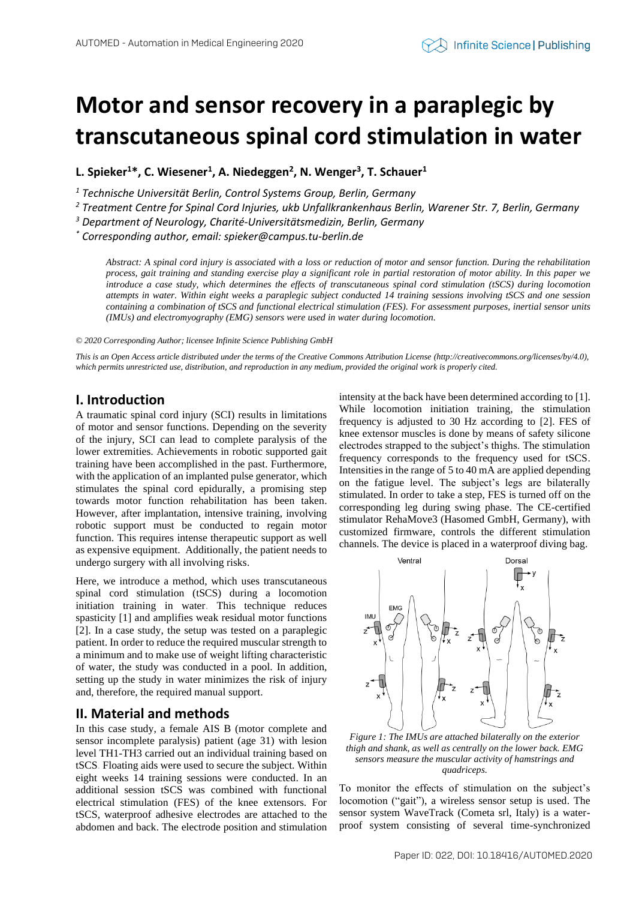# **Motor and sensor recovery in a paraplegic by transcutaneous spinal cord stimulation in water**

**L. Spieker<sup>1</sup>\*, C. Wiesener<sup>1</sup> , A. Niedeggen<sup>2</sup> , N. Wenger<sup>3</sup> , T. Schauer<sup>1</sup>**

*<sup>1</sup> Technische Universität Berlin, Control Systems Group, Berlin, Germany*

*<sup>2</sup> Treatment Centre for Spinal Cord Injuries, ukb Unfallkrankenhaus Berlin, Warener Str. 7, Berlin, Germany*

*<sup>3</sup> Department of Neurology, Charité-Universitätsmedizin, Berlin, Germany*

*\* Corresponding author, email: spieker@campus.tu-berlin.de*

*Abstract: A spinal cord injury is associated with a loss or reduction of motor and sensor function. During the rehabilitation process, gait training and standing exercise play a significant role in partial restoration of motor ability. In this paper we introduce a case study, which determines the effects of transcutaneous spinal cord stimulation (tSCS) during locomotion attempts in water. Within eight weeks a paraplegic subject conducted 14 training sessions involving tSCS and one session containing a combination of tSCS and functional electrical stimulation (FES). For assessment purposes, inertial sensor units (IMUs) and electromyography (EMG) sensors were used in water during locomotion.*

*© 2020 Corresponding Author; licensee Infinite Science Publishing GmbH*

*This is an Open Access article distributed under the terms of the Creative Commons Attribution License (http://creativecommons.org/licenses/by/4.0),*  which permits unrestricted use, distribution, and reproduction in any medium, provided the original work is properly cited.

## **I. Introduction**

A traumatic spinal cord injury (SCI) results in limitations of motor and sensor functions. Depending on the severity of the injury, SCI can lead to complete paralysis of the lower extremities. Achievements in robotic supported gait training have been accomplished in the past. Furthermore, with the application of an implanted pulse generator, which stimulates the spinal cord epidurally, a promising step towards motor function rehabilitation has been taken. However, after implantation, intensive training, involving robotic support must be conducted to regain motor function. This requires intense therapeutic support as well as expensive equipment. Additionally, the patient needs to undergo surgery with all involving risks.

Here, we introduce a method, which uses transcutaneous spinal cord stimulation (tSCS) during a locomotion initiation training in water. This technique reduces spasticity [1] and amplifies weak residual motor functions [2]. In a case study, the setup was tested on a paraplegic patient. In order to reduce the required muscular strength to a minimum and to make use of weight lifting characteristic of water, the study was conducted in a pool. In addition, setting up the study in water minimizes the risk of injury and, therefore, the required manual support.

#### **II. Material and methods**

In this case study, a female AIS B (motor complete and sensor incomplete paralysis) patient (age 31) with lesion level TH1-TH3 carried out an individual training based on tSCS. Floating aids were used to secure the subject. Within eight weeks 14 training sessions were conducted. In an additional session tSCS was combined with functional electrical stimulation (FES) of the knee extensors. For tSCS, waterproof adhesive electrodes are attached to the abdomen and back. The electrode position and stimulation intensity at the back have been determined according to [1]. While locomotion initiation training, the stimulation frequency is adjusted to 30 Hz according to [2]. FES of knee extensor muscles is done by means of safety silicone electrodes strapped to the subject's thighs. The stimulation frequency corresponds to the frequency used for tSCS. Intensities in the range of 5 to 40 mA are applied depending on the fatigue level. The subject's legs are bilaterally stimulated. In order to take a step, FES is turned off on the corresponding leg during swing phase. The CE-certified stimulator RehaMove3 (Hasomed GmbH, Germany), with customized firmware, controls the different stimulation channels. The device is placed in a waterproof diving bag.



*Figure 1: The IMUs are attached bilaterally on the exterior thigh and shank, as well as centrally on the lower back. EMG sensors measure the muscular activity of hamstrings and quadriceps.*

To monitor the effects of stimulation on the subject's locomotion ("gait"), a wireless sensor setup is used. The sensor system WaveTrack (Cometa srl, Italy) is a waterproof system consisting of several time-synchronized